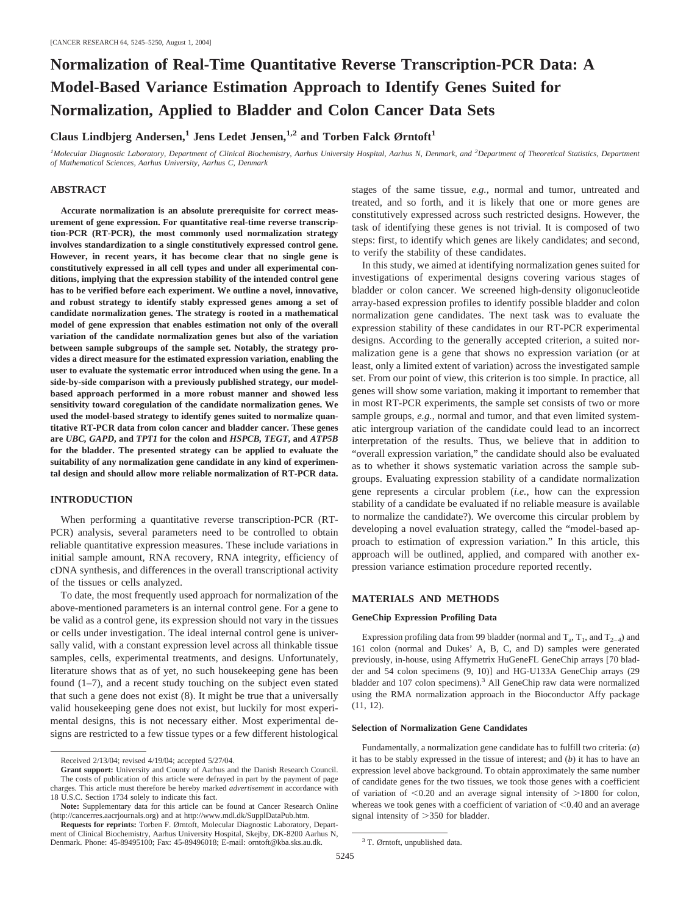# **Normalization of Real-Time Quantitative Reverse Transcription-PCR Data: A Model-Based Variance Estimation Approach to Identify Genes Suited for Normalization, Applied to Bladder and Colon Cancer Data Sets**

Claus Lindbjerg Andersen,<sup>1</sup> Jens Ledet Jensen,<sup>1,2</sup> and Torben Falck Ørntoft<sup>1</sup>

<sup>*1</sup>Molecular Diagnostic Laboratory, Department of Clinical Biochemistry, Aarhus University Hospital, Aarhus N, Denmark, and <sup>2</sup>Department of Theoretical Statistics, Department</sup> of Mathematical Sciences, Aarhus University, Aarhus C, Denmark*

# **ABSTRACT**

**Accurate normalization is an absolute prerequisite for correct measurement of gene expression. For quantitative real-time reverse transcription-PCR (RT-PCR), the most commonly used normalization strategy involves standardization to a single constitutively expressed control gene. However, in recent years, it has become clear that no single gene is constitutively expressed in all cell types and under all experimental conditions, implying that the expression stability of the intended control gene has to be verified before each experiment. We outline a novel, innovative, and robust strategy to identify stably expressed genes among a set of candidate normalization genes. The strategy is rooted in a mathematical model of gene expression that enables estimation not only of the overall variation of the candidate normalization genes but also of the variation between sample subgroups of the sample set. Notably, the strategy provides a direct measure for the estimated expression variation, enabling the user to evaluate the systematic error introduced when using the gene. In a side-by-side comparison with a previously published strategy, our modelbased approach performed in a more robust manner and showed less sensitivity toward coregulation of the candidate normalization genes. We used the model-based strategy to identify genes suited to normalize quantitative RT-PCR data from colon cancer and bladder cancer. These genes are** *UBC, GAPD***, and** *TPT1* **for the colon and** *HSPCB, TEGT***, and** *ATP5B* **for the bladder. The presented strategy can be applied to evaluate the suitability of any normalization gene candidate in any kind of experimental design and should allow more reliable normalization of RT-PCR data.**

# **INTRODUCTION**

When performing a quantitative reverse transcription-PCR (RT-PCR) analysis, several parameters need to be controlled to obtain reliable quantitative expression measures. These include variations in initial sample amount, RNA recovery, RNA integrity, efficiency of cDNA synthesis, and differences in the overall transcriptional activity of the tissues or cells analyzed.

To date, the most frequently used approach for normalization of the above-mentioned parameters is an internal control gene. For a gene to be valid as a control gene, its expression should not vary in the tissues or cells under investigation. The ideal internal control gene is universally valid, with a constant expression level across all thinkable tissue samples, cells, experimental treatments, and designs. Unfortunately, literature shows that as of yet, no such housekeeping gene has been found (1–7), and a recent study touching on the subject even stated that such a gene does not exist (8). It might be true that a universally valid housekeeping gene does not exist, but luckily for most experimental designs, this is not necessary either. Most experimental designs are restricted to a few tissue types or a few different histological stages of the same tissue, *e.g.,* normal and tumor, untreated and treated, and so forth, and it is likely that one or more genes are constitutively expressed across such restricted designs. However, the task of identifying these genes is not trivial. It is composed of two steps: first, to identify which genes are likely candidates; and second, to verify the stability of these candidates.

In this study, we aimed at identifying normalization genes suited for investigations of experimental designs covering various stages of bladder or colon cancer. We screened high-density oligonucleotide array-based expression profiles to identify possible bladder and colon normalization gene candidates. The next task was to evaluate the expression stability of these candidates in our RT-PCR experimental designs. According to the generally accepted criterion, a suited normalization gene is a gene that shows no expression variation (or at least, only a limited extent of variation) across the investigated sample set. From our point of view, this criterion is too simple. In practice, all genes will show some variation, making it important to remember that in most RT-PCR experiments, the sample set consists of two or more sample groups, *e.g.*, normal and tumor, and that even limited systematic intergroup variation of the candidate could lead to an incorrect interpretation of the results. Thus, we believe that in addition to "overall expression variation," the candidate should also be evaluated as to whether it shows systematic variation across the sample subgroups. Evaluating expression stability of a candidate normalization gene represents a circular problem (*i.e.*, how can the expression stability of a candidate be evaluated if no reliable measure is available to normalize the candidate?). We overcome this circular problem by developing a novel evaluation strategy, called the "model-based approach to estimation of expression variation." In this article, this approach will be outlined, applied, and compared with another expression variance estimation procedure reported recently.

# **MATERIALS AND METHODS**

## **GeneChip Expression Profiling Data**

Expression profiling data from 99 bladder (normal and  $T_a$ ,  $T_1$ , and  $T_{2-4}$ ) and 161 colon (normal and Dukes' A, B, C, and D) samples were generated previously, in-house, using Affymetrix HuGeneFL GeneChip arrays [70 bladder and 54 colon specimens (9, 10)] and HG-U133A GeneChip arrays (29 bladder and 107 colon specimens).3 All GeneChip raw data were normalized using the RMA normalization approach in the Bioconductor Affy package (11, 12).

#### **Selection of Normalization Gene Candidates**

Fundamentally, a normalization gene candidate has to fulfill two criteria: (*a*) it has to be stably expressed in the tissue of interest; and (*b*) it has to have an expression level above background. To obtain approximately the same number of candidate genes for the two tissues, we took those genes with a coefficient of variation of  $\leq 0.20$  and an average signal intensity of  $>1800$  for colon, whereas we took genes with a coefficient of variation of  $< 0.40$  and an average signal intensity of  $>350$  for bladder.

Received 2/13/04; revised 4/19/04; accepted 5/27/04.

**Grant support:** University and County of Aarhus and the Danish Research Council. The costs of publication of this article were defrayed in part by the payment of page charges. This article must therefore be hereby marked *advertisement* in accordance with 18 U.S.C. Section 1734 solely to indicate this fact.

**Note:** Supplementary data for this article can be found at Cancer Research Online (http://cancerres.aacrjournals.org) and at http://www.mdl.dk/SupplDataPub.htm.

**Requests for reprints:** Torben F. Ørntoft, Molecular Diagnostic Laboratory, Department of Clinical Biochemistry, Aarhus University Hospital, Skejby, DK-8200 Aarhus N, Denmark. Phone: 45-89495100; Fax: 45-89496018; E-mail: orntoft@kba.sks.au.dk. <sup>3</sup> T. Ørntoft, unpublished data.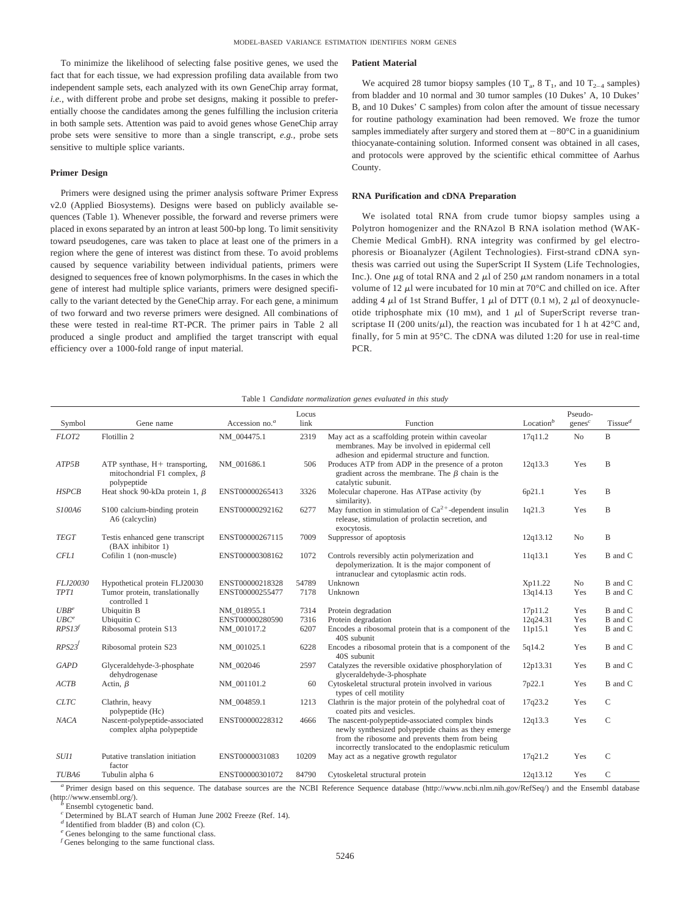To minimize the likelihood of selecting false positive genes, we used the fact that for each tissue, we had expression profiling data available from two independent sample sets, each analyzed with its own GeneChip array format, *i.e.*, with different probe and probe set designs, making it possible to preferentially choose the candidates among the genes fulfilling the inclusion criteria in both sample sets. Attention was paid to avoid genes whose GeneChip array probe sets were sensitive to more than a single transcript, *e.g.,* probe sets sensitive to multiple splice variants.

#### **Primer Design**

Primers were designed using the primer analysis software Primer Express v2.0 (Applied Biosystems). Designs were based on publicly available sequences (Table 1). Whenever possible, the forward and reverse primers were placed in exons separated by an intron at least 500-bp long. To limit sensitivity toward pseudogenes, care was taken to place at least one of the primers in a region where the gene of interest was distinct from these. To avoid problems caused by sequence variability between individual patients, primers were designed to sequences free of known polymorphisms. In the cases in which the gene of interest had multiple splice variants, primers were designed specifically to the variant detected by the GeneChip array. For each gene, a minimum of two forward and two reverse primers were designed. All combinations of these were tested in real-time RT-PCR. The primer pairs in Table 2 all produced a single product and amplified the target transcript with equal efficiency over a 1000-fold range of input material.

#### **Patient Material**

We acquired 28 tumor biopsy samples (10  $T_a$ , 8  $T_1$ , and 10  $T_{2-4}$  samples) from bladder and 10 normal and 30 tumor samples (10 Dukes' A, 10 Dukes' B, and 10 Dukes' C samples) from colon after the amount of tissue necessary for routine pathology examination had been removed. We froze the tumor samples immediately after surgery and stored them at  $-80^{\circ}$ C in a guanidinium thiocyanate-containing solution. Informed consent was obtained in all cases, and protocols were approved by the scientific ethical committee of Aarhus County.

#### **RNA Purification and cDNA Preparation**

We isolated total RNA from crude tumor biopsy samples using a Polytron homogenizer and the RNAzol B RNA isolation method (WAK-Chemie Medical GmbH). RNA integrity was confirmed by gel electrophoresis or Bioanalyzer (Agilent Technologies). First-strand cDNA synthesis was carried out using the SuperScript II System (Life Technologies, Inc.). One  $\mu$ g of total RNA and 2  $\mu$ l of 250  $\mu$ M random nonamers in a total volume of 12  $\mu$ l were incubated for 10 min at 70°C and chilled on ice. After adding 4  $\mu$ l of 1st Strand Buffer, 1  $\mu$ l of DTT (0.1 M), 2  $\mu$ l of deoxynucleotide triphosphate mix (10 mm), and 1  $\mu$ l of SuperScript reverse transcriptase II (200 units/ $\mu$ l), the reaction was incubated for 1 h at 42°C and, finally, for 5 min at 95°C. The cDNA was diluted 1:20 for use in real-time PCR.

#### Table 1 *Candidate normalization genes evaluated in this study*

| Symbol           | Gene name                                                                            | Accession no. $a$ | Locus<br>link | Function                                                                                                                                                                                                           | Location $b$ | Pseudo-<br>genes <sup>c</sup> | $T$ issue <sup>d</sup> |
|------------------|--------------------------------------------------------------------------------------|-------------------|---------------|--------------------------------------------------------------------------------------------------------------------------------------------------------------------------------------------------------------------|--------------|-------------------------------|------------------------|
| FLOT2            | Flotillin 2                                                                          | NM_004475.1       | 2319          | May act as a scaffolding protein within caveolar<br>membranes. May be involved in epidermal cell<br>adhesion and epidermal structure and function.                                                                 | 17q11.2      | N <sub>o</sub>                | B                      |
| ATP5B            | ATP synthase, $H+$ transporting,<br>mitochondrial F1 complex, $\beta$<br>polypeptide | NM 001686.1       | 506           | Produces ATP from ADP in the presence of a proton<br>gradient across the membrane. The $\beta$ chain is the<br>catalytic subunit.                                                                                  | 12q13.3      | Yes                           | B                      |
| <b>HSPCB</b>     | Heat shock 90-kDa protein 1, $\beta$                                                 | ENST00000265413   | 3326          | Molecular chaperone. Has ATPase activity (by<br>similarity).                                                                                                                                                       | 6p21.1       | Yes                           | B                      |
| S100A6           | S100 calcium-binding protein<br>A6 (calcyclin)                                       | ENST00000292162   | 6277          | May function in stimulation of $Ca^{2+}$ -dependent insulin<br>release, stimulation of prolactin secretion, and<br>exocytosis.                                                                                     | 1q21.3       | Yes                           | B                      |
| <b>TEGT</b>      | Testis enhanced gene transcript<br>(BAX inhibitor 1)                                 | ENST00000267115   | 7009          | Suppressor of apoptosis                                                                                                                                                                                            | 12q13.12     | No                            | $\, {\bf B}$           |
| <b>CFL1</b>      | Cofilin 1 (non-muscle)                                                               | ENST00000308162   | 1072          | Controls reversibly actin polymerization and<br>depolymerization. It is the major component of<br>intranuclear and cytoplasmic actin rods.                                                                         | 11q13.1      | Yes                           | B and C                |
| FLJ20030         | Hypothetical protein FLJ20030                                                        | ENST00000218328   | 54789         | Unknown                                                                                                                                                                                                            | Xp11.22      | N <sub>o</sub>                | B and C                |
| <b>TPT1</b>      | Tumor protein, translationally<br>controlled 1                                       | ENST00000255477   | 7178          | Unknown                                                                                                                                                                                                            | 13q14.13     | Yes                           | B and C                |
| UBB <sup>e</sup> | Ubiquitin B                                                                          | NM 018955.1       | 7314          | Protein degradation                                                                                                                                                                                                | 17p11.2      | Yes                           | B and C                |
| $UBC^e$          | Ubiquitin C                                                                          | ENST00000280590   | 7316          | Protein degradation                                                                                                                                                                                                | 12q24.31     | Yes                           | B and C                |
| RPS13f           | Ribosomal protein S13                                                                | NM 001017.2       | 6207          | Encodes a ribosomal protein that is a component of the<br>40S subunit                                                                                                                                              | 11p15.1      | Yes                           | B and C                |
| RPS23'           | Ribosomal protein S23                                                                | NM 001025.1       | 6228          | Encodes a ribosomal protein that is a component of the<br>40S subunit                                                                                                                                              | 5q14.2       | Yes                           | B and C                |
| <b>GAPD</b>      | Glyceraldehyde-3-phosphate<br>dehydrogenase                                          | NM 002046         | 2597          | Catalyzes the reversible oxidative phosphorylation of<br>glyceraldehyde-3-phosphate                                                                                                                                | 12p13.31     | Yes                           | B and C                |
| ACTB             | Actin, $\beta$                                                                       | NM 001101.2       | 60            | Cytoskeletal structural protein involved in various<br>types of cell motility                                                                                                                                      | 7p22.1       | Yes                           | B and C                |
| <b>CLTC</b>      | Clathrin, heavy<br>polypeptide (Hc)                                                  | NM 004859.1       | 1213          | Clathrin is the major protein of the polyhedral coat of<br>coated pits and vesicles.                                                                                                                               | 17q23.2      | Yes                           | $\mathsf{C}$           |
| <b>NACA</b>      | Nascent-polypeptide-associated<br>complex alpha polypeptide                          | ENST00000228312   | 4666          | The nascent-polypeptide-associated complex binds<br>newly synthesized polypeptide chains as they emerge<br>from the ribosome and prevents them from being<br>incorrectly translocated to the endoplasmic reticulum | 12q13.3      | Yes                           | C                      |
| <i>SUII</i>      | Putative translation initiation<br>factor                                            | ENST0000031083    | 10209         | May act as a negative growth regulator                                                                                                                                                                             | 17q21.2      | Yes                           | C                      |
| TUBA6            | Tubulin alpha 6                                                                      | ENST00000301072   | 84790         | Cytoskeletal structural protein                                                                                                                                                                                    | 12q13.12     | Yes                           | $\mathcal{C}$          |

<sup>a</sup> Primer design based on this sequence. The database sources are the NCBI Reference Sequence database (http://www.ncbi.nlm.nih.gov/RefSeq/) and the Ensembl database (http://www.ensembl.org/).

Ensembl cytogenetic band.

*<sup>c</sup>* Determined by BLAT search of Human June 2002 Freeze (Ref. 14).

*<sup>d</sup>* Identified from bladder (B) and colon (C).

*<sup>e</sup>* Genes belonging to the same functional class.

*f* Genes belonging to the same functional class.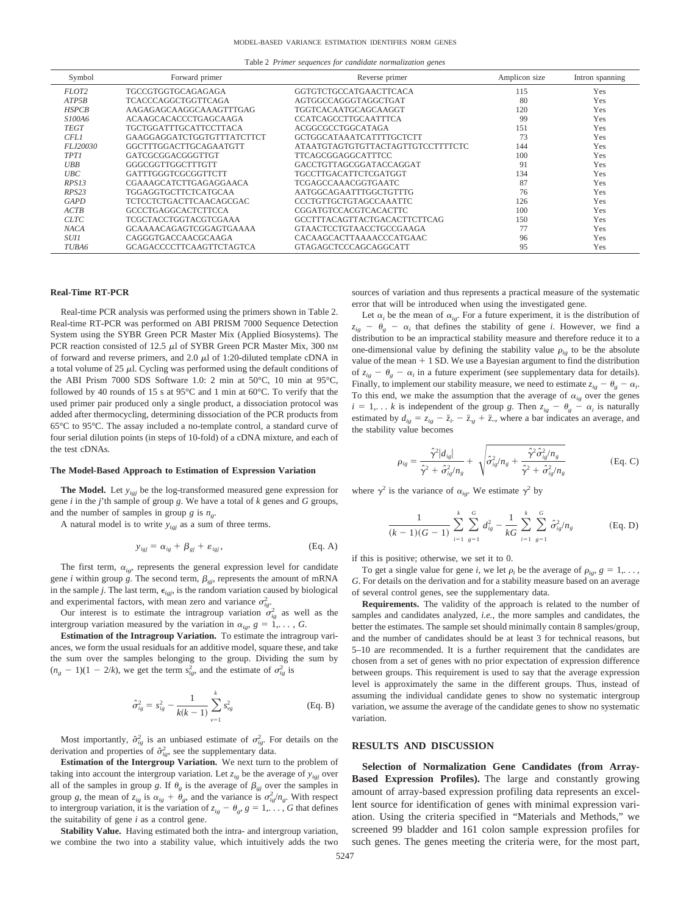Table 2 *Primer sequences for candidate normalization genes*

| Symbol       | Forward primer                  | Reverse primer                           | Amplicon size | Intron spanning |
|--------------|---------------------------------|------------------------------------------|---------------|-----------------|
| FLOT2        | TGCCGTGGTGCAGAGAGA              | GGTGTCTGCCATGAACTTCACA                   | 115           | Yes             |
| ATP5B        | TCACCCAGGCTGGTTCAGA             | AGTGGCCAGGGTAGGCTGAT                     | 80            | Yes             |
| <b>HSPCB</b> | AAGAGAGCAAGGCAAAGTTTGAG         | TGGTCACAATGCAGCAAGGT                     | 120           | Yes             |
| S100A6       | <b>ACAAGCACACCCTGAGCAAGA</b>    | <b>CCATCAGCCTTGCAATTTCA</b>              | 99            | Yes             |
| <b>TEGT</b>  | <b>TGCTGGATTTGCATTCCTTACA</b>   | ACGGCGCCTGGCATAGA                        | 151           | Yes             |
| CFL1         | GAAGGAGGATCTGGTGTTTATCTTCT      | GCTGGCATAAATCATTTTGCTCTT                 | 73            | Yes             |
| FLJ20030     | GGCTTTGGACTTGCAGAATGTT          | <b>ATAATGTAGTGTGTTACTAGTTGTCCTTTTCTC</b> | 144           | Yes             |
| <b>TPT1</b>  | GATCGCGGACGGGTTGT               | TTCAGCGGAGGCATTTCC                       | 100           | Yes             |
| UBB          | GGGCGGTTGGCTTTGTT               | GACCTGTTAGCGGATACCAGGAT                  | 91            | Yes             |
| UBC          | GATTTGGGTCGCGGTTCTT             | TGCCTTGACATTCTCGATGGT                    | 134           | Yes             |
| RPS13        | CGAAAGCATCTTGAGAGGAACA          | TCGAGCCAAACGGTGAATC                      | 87            | Yes             |
| RPS23        | TGGAGGTGCTTCTCATGCAA            | AATGGCAGAATTTGGCTGTTTG                   | 76            | Yes             |
| GAPD         | <b>TCTCCTCTGACTTCAACAGCGAC</b>  | <b>CCCTGTTGCTGTAGCCAAATTC</b>            | 126           | Yes             |
| ACTB         | <b>GCCCTGAGGCACTCTTCCA</b>      | <b>CGGATGTCCACGTCACACTTC</b>             | 100           | Yes             |
| <b>CLTC</b>  | <b>TCGCTACCTGGTACGTCGAAA</b>    | GCCTTTACAGTTACTGACACTTCTTCAG             | 150           | Yes             |
| <b>NACA</b>  | GCAAAACAGAGTCGGAGTGAAAA         | <b>GTAACTCCTGTAACCTGCCGAAGA</b>          | 77            | Yes             |
| <i>SUI1</i>  | CAGGGTGACCAACGCAAGA             | CACAAGCACTTAAAACCCATGAAC                 | 96            | Yes             |
| TUBA6        | <b>GCAGACCCCTTCAAGTTCTAGTCA</b> | GTAGAGCTCCCAGCAGGCATT                    | 95            | Yes             |
|              |                                 |                                          |               |                 |

## **Real-Time RT-PCR**

Real-time PCR analysis was performed using the primers shown in Table 2. Real-time RT-PCR was performed on ABI PRISM 7000 Sequence Detection System using the SYBR Green PCR Master Mix (Applied Biosystems). The PCR reaction consisted of 12.5  $\mu$ l of SYBR Green PCR Master Mix, 300 nm of forward and reverse primers, and 2.0  $\mu$ l of 1:20-diluted template cDNA in a total volume of 25  $\mu$ l. Cycling was performed using the default conditions of the ABI Prism 7000 SDS Software 1.0: 2 min at 50°C, 10 min at 95°C, followed by 40 rounds of 15 s at  $95^{\circ}$ C and 1 min at 60 $^{\circ}$ C. To verify that the used primer pair produced only a single product, a dissociation protocol was added after thermocycling, determining dissociation of the PCR products from 65°C to 95°C. The assay included a no-template control, a standard curve of four serial dilution points (in steps of 10-fold) of a cDNA mixture, and each of the test cDNAs.

#### **The Model-Based Approach to Estimation of Expression Variation**

**The Model.** Let *yigj* be the log-transformed measured gene expression for gene *i* in the *j*'th sample of group *g*. We have a total of *k* genes and *G* groups, and the number of samples in group *g* is  $n_e$ .

A natural model is to write *yigj* as a sum of three terms.

$$
y_{igj} = \alpha_{ig} + \beta_{gj} + \varepsilon_{igj}, \qquad \qquad (Eq. A)
$$

The first term,  $\alpha_{ie}$ , represents the general expression level for candidate gene *i* within group *g*. The second term,  $\beta_{gi}$ , represents the amount of mRNA in the sample *j*. The last term,  $\epsilon_{igj}$ , is the random variation caused by biological and experimental factors, with mean zero and variance  $\sigma_{ig}^2$ .

Our interest is to estimate the intragroup variation  $\sigma_{ig}^2$  as well as the intergroup variation measured by the variation in  $\alpha_{ig}$ ,  $g = 1, \ldots, G$ .

**Estimation of the Intragroup Variation.** To estimate the intragroup variances, we form the usual residuals for an additive model, square these, and take the sum over the samples belonging to the group. Dividing the sum by  $(n<sub>g</sub> - 1)(1 - 2/k)$ , we get the term  $s<sub>ig</sub><sup>2</sup>$ , and the estimate of  $\sigma<sub>ig</sub><sup>2</sup>$  is

$$
\hat{\sigma}_{ig}^2 = s_{ig}^2 - \frac{1}{k(k-1)} \sum_{v=1}^k s_{vg}^2
$$
 (Eq. B)

Most importantly,  $\hat{\sigma}_{ig}^2$  is an unbiased estimate of  $\sigma_{ig}^2$ . For details on the derivation and properties of  $\hat{\sigma}_{ig}^2$ , see the supplementary data.

**Estimation of the Intergroup Variation.** We next turn to the problem of taking into account the intergroup variation. Let  $z_{ig}$  be the average of  $y_{igj}$  over all of the samples in group *g*. If  $\theta_g$  is the average of  $\beta_{gi}$  over the samples in group *g*, the mean of  $z_{ig}$  is  $\alpha_{ig} + \theta_g$ , and the variance is  $\sigma_{ig}^2/n_g$ . With respect to intergroup variation, it is the variation of  $z_{ig} - \theta_g$ ,  $g = 1, \ldots, G$  that defines the suitability of gene *i* as a control gene.

**Stability Value.** Having estimated both the intra- and intergroup variation, we combine the two into a stability value, which intuitively adds the two sources of variation and thus represents a practical measure of the systematic error that will be introduced when using the investigated gene.

Let  $\alpha_i$  be the mean of  $\alpha_{i}$ . For a future experiment, it is the distribution of  $z_{ig}$  –  $\theta_g$  –  $\alpha_i$  that defines the stability of gene *i*. However, we find a distribution to be an impractical stability measure and therefore reduce it to a one-dimensional value by defining the stability value  $\rho_{ig}$  to be the absolute value of the mean  $+1$  SD. We use a Bayesian argument to find the distribution of  $z_{ig} - \theta_g - \alpha_i$  in a future experiment (see supplementary data for details). Finally, to implement our stability measure, we need to estimate  $z_{ig} - \theta_g - \alpha_i$ . To this end, we make the assumption that the average of  $\alpha_{ig}$  over the genes  $i = 1, \ldots k$  is independent of the group *g*. Then  $z_{ig} - \theta_g - \alpha_i$  is naturally estimated by  $d_{ig} = z_{ig} - \overline{z}_i - \overline{z}_g + \overline{z}_m$ , where a bar indicates an average, and the stability value becomes

$$
\rho_{ig} = \frac{\hat{\gamma}^2 |d_{ig}|}{\hat{\gamma}^2 + \hat{\sigma}_{ig}^2 / n_g} + \sqrt{\hat{\sigma}_{ig}^2 / n_g + \frac{\hat{\gamma}^2 \hat{\sigma}_{ig}^2 / n_g}{\hat{\gamma}^2 + \hat{\sigma}_{ig}^2 / n_g}}
$$
(Eq. C)

where  $\gamma^2$  is the variance of  $\alpha_{ig}$ . We estimate  $\gamma^2$  by

$$
\frac{1}{(k-1)(G-1)}\sum_{i=1}^{k}\sum_{g=1}^{G}d_{ig}^{2}-\frac{1}{kG}\sum_{i=1}^{k}\sum_{g=1}^{G}\hat{\sigma}_{ig}^{2}/n_{g}
$$
(Eq. D)

if this is positive; otherwise, we set it to 0.

To get a single value for gene *i*, we let  $\rho_i$  be the average of  $\rho_{ie}$ ,  $g = 1, \ldots$ , *G*. For details on the derivation and for a stability measure based on an average of several control genes, see the supplementary data.

**Requirements.** The validity of the approach is related to the number of samples and candidates analyzed, *i.e.*, the more samples and candidates, the better the estimates. The sample set should minimally contain 8 samples/group, and the number of candidates should be at least 3 for technical reasons, but 5–10 are recommended. It is a further requirement that the candidates are chosen from a set of genes with no prior expectation of expression difference between groups. This requirement is used to say that the average expression level is approximately the same in the different groups. Thus, instead of assuming the individual candidate genes to show no systematic intergroup variation, we assume the average of the candidate genes to show no systematic variation.

#### **RESULTS AND DISCUSSION**

**Selection of Normalization Gene Candidates (from Array-Based Expression Profiles).** The large and constantly growing amount of array-based expression profiling data represents an excellent source for identification of genes with minimal expression variation. Using the criteria specified in "Materials and Methods," we screened 99 bladder and 161 colon sample expression profiles for such genes. The genes meeting the criteria were, for the most part,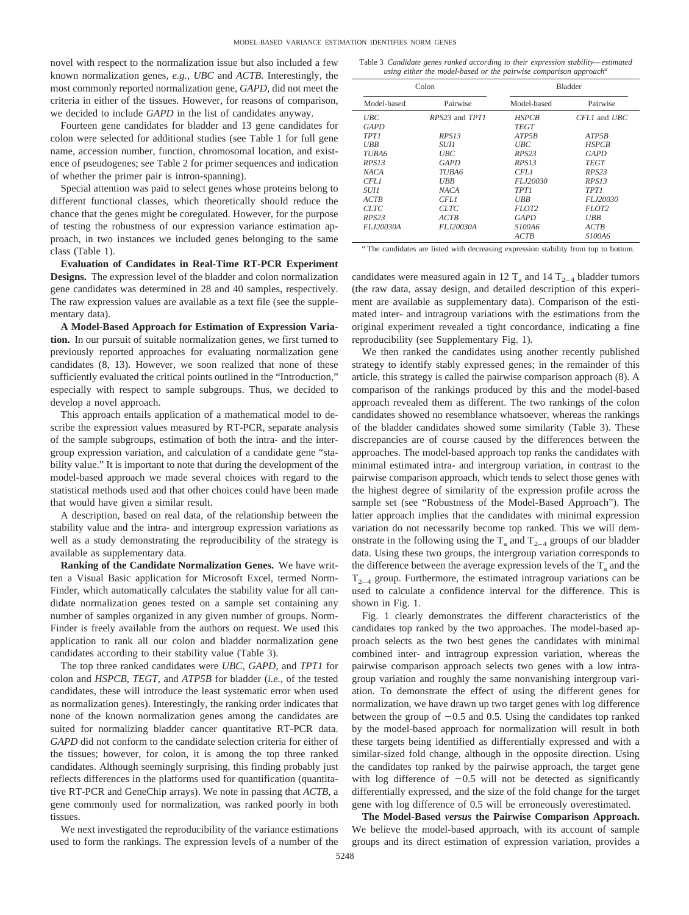novel with respect to the normalization issue but also included a few known normalization genes, *e.g., UBC* and *ACTB*. Interestingly, the most commonly reported normalization gene, *GAPD*, did not meet the criteria in either of the tissues. However, for reasons of comparison, we decided to include *GAPD* in the list of candidates anyway.

Fourteen gene candidates for bladder and 13 gene candidates for colon were selected for additional studies (see Table 1 for full gene name, accession number, function, chromosomal location, and existence of pseudogenes; see Table 2 for primer sequences and indication of whether the primer pair is intron-spanning).

Special attention was paid to select genes whose proteins belong to different functional classes, which theoretically should reduce the chance that the genes might be coregulated. However, for the purpose of testing the robustness of our expression variance estimation approach, in two instances we included genes belonging to the same class (Table 1).

**Evaluation of Candidates in Real-Time RT-PCR Experiment Designs.** The expression level of the bladder and colon normalization gene candidates was determined in 28 and 40 samples, respectively. The raw expression values are available as a text file (see the supplementary data).

**A Model-Based Approach for Estimation of Expression Variation.** In our pursuit of suitable normalization genes, we first turned to previously reported approaches for evaluating normalization gene candidates (8, 13). However, we soon realized that none of these sufficiently evaluated the critical points outlined in the "Introduction," especially with respect to sample subgroups. Thus, we decided to develop a novel approach.

This approach entails application of a mathematical model to describe the expression values measured by RT-PCR, separate analysis of the sample subgroups, estimation of both the intra- and the intergroup expression variation, and calculation of a candidate gene "stability value." It is important to note that during the development of the model-based approach we made several choices with regard to the statistical methods used and that other choices could have been made that would have given a similar result.

A description, based on real data, of the relationship between the stability value and the intra- and intergroup expression variations as well as a study demonstrating the reproducibility of the strategy is available as supplementary data.

**Ranking of the Candidate Normalization Genes.** We have written a Visual Basic application for Microsoft Excel, termed Norm-Finder, which automatically calculates the stability value for all candidate normalization genes tested on a sample set containing any number of samples organized in any given number of groups. Norm-Finder is freely available from the authors on request. We used this application to rank all our colon and bladder normalization gene candidates according to their stability value (Table 3).

The top three ranked candidates were *UBC, GAPD*, and *TPT1* for colon and *HSPCB, TEGT*, and *ATP5B* for bladder (*i.e.*, of the tested candidates, these will introduce the least systematic error when used as normalization genes). Interestingly, the ranking order indicates that none of the known normalization genes among the candidates are suited for normalizing bladder cancer quantitative RT-PCR data. *GAPD* did not conform to the candidate selection criteria for either of the tissues; however, for colon, it is among the top three ranked candidates. Although seemingly surprising, this finding probably just reflects differences in the platforms used for quantification (quantitative RT-PCR and GeneChip arrays). We note in passing that *ACTB*, a gene commonly used for normalization, was ranked poorly in both tissues.

We next investigated the reproducibility of the variance estimations used to form the rankings. The expression levels of a number of the

Table 3 *Candidate genes ranked according to their expression stability—estimated using either the model-based or the pairwise comparison approach<sup>a</sup>*

| Colon                  |                | <b>Bladder</b>                     |                             |  |
|------------------------|----------------|------------------------------------|-----------------------------|--|
| Model-based            | Pairwise       | Model-based                        | Pairwise                    |  |
| <b>UBC</b><br>GAPD     | RPS23 and TPT1 | <b>HSPCB</b><br><b>TEGT</b>        | $CFL1$ and $UBC$            |  |
| <b>TPT1</b>            | RPS13          | ATP5B                              | ATP5B                       |  |
| UBB                    | <i>SUH</i>     | $_{\it UBC}$                       | <b>HSPCB</b>                |  |
| TUBA6                  | <b>UBC</b>     | RPS23                              | <b>GAPD</b>                 |  |
| RPS13                  | GAPD           | RPS <sub>13</sub>                  | <b>TEGT</b>                 |  |
| <b>NACA</b>            | TUBA6          |                                    | RPS23                       |  |
| CFL1                   | <b>UBB</b>     | FLJ20030                           | RPS13                       |  |
| <i>SUH</i>             | NACA           | <b>TPT1</b>                        | <b>TPT1</b>                 |  |
| ACTB                   | CFL1           | UBB                                | FLJ20030                    |  |
| <b>CLTC</b>            | <b>CLTC</b>    | FLOT <sub>2</sub>                  | FLOT <sub>2</sub>           |  |
| RPS <sub>23</sub>      | ACTB           | GAPD                               | UBB                         |  |
| FLJ20030A<br>FLJ20030A |                | S <sub>100</sub> A6<br><b>ACTB</b> | ACTB<br>S <sub>100</sub> A6 |  |

*<sup>a</sup>* The candidates are listed with decreasing expression stability from top to bottom.

candidates were measured again in 12  $T_a$  and 14  $T_{2-4}$  bladder tumors (the raw data, assay design, and detailed description of this experiment are available as supplementary data). Comparison of the estimated inter- and intragroup variations with the estimations from the original experiment revealed a tight concordance, indicating a fine reproducibility (see Supplementary Fig. 1).

We then ranked the candidates using another recently published strategy to identify stably expressed genes; in the remainder of this article, this strategy is called the pairwise comparison approach (8). A comparison of the rankings produced by this and the model-based approach revealed them as different. The two rankings of the colon candidates showed no resemblance whatsoever, whereas the rankings of the bladder candidates showed some similarity (Table 3). These discrepancies are of course caused by the differences between the approaches. The model-based approach top ranks the candidates with minimal estimated intra- and intergroup variation, in contrast to the pairwise comparison approach, which tends to select those genes with the highest degree of similarity of the expression profile across the sample set (see "Robustness of the Model-Based Approach"). The latter approach implies that the candidates with minimal expression variation do not necessarily become top ranked. This we will demonstrate in the following using the  $T_a$  and  $T_{2-4}$  groups of our bladder data. Using these two groups, the intergroup variation corresponds to the difference between the average expression levels of the  $T_a$  and the  $T_{2-4}$  group. Furthermore, the estimated intragroup variations can be used to calculate a confidence interval for the difference. This is shown in Fig. 1.

Fig. 1 clearly demonstrates the different characteristics of the candidates top ranked by the two approaches. The model-based approach selects as the two best genes the candidates with minimal combined inter- and intragroup expression variation, whereas the pairwise comparison approach selects two genes with a low intragroup variation and roughly the same nonvanishing intergroup variation. To demonstrate the effect of using the different genes for normalization, we have drawn up two target genes with log difference between the group of  $-0.5$  and 0.5. Using the candidates top ranked by the model-based approach for normalization will result in both these targets being identified as differentially expressed and with a similar-sized fold change, although in the opposite direction. Using the candidates top ranked by the pairwise approach, the target gene with log difference of  $-0.5$  will not be detected as significantly differentially expressed, and the size of the fold change for the target gene with log difference of 0.5 will be erroneously overestimated.

**The Model-Based** *versus* **the Pairwise Comparison Approach.** We believe the model-based approach, with its account of sample groups and its direct estimation of expression variation, provides a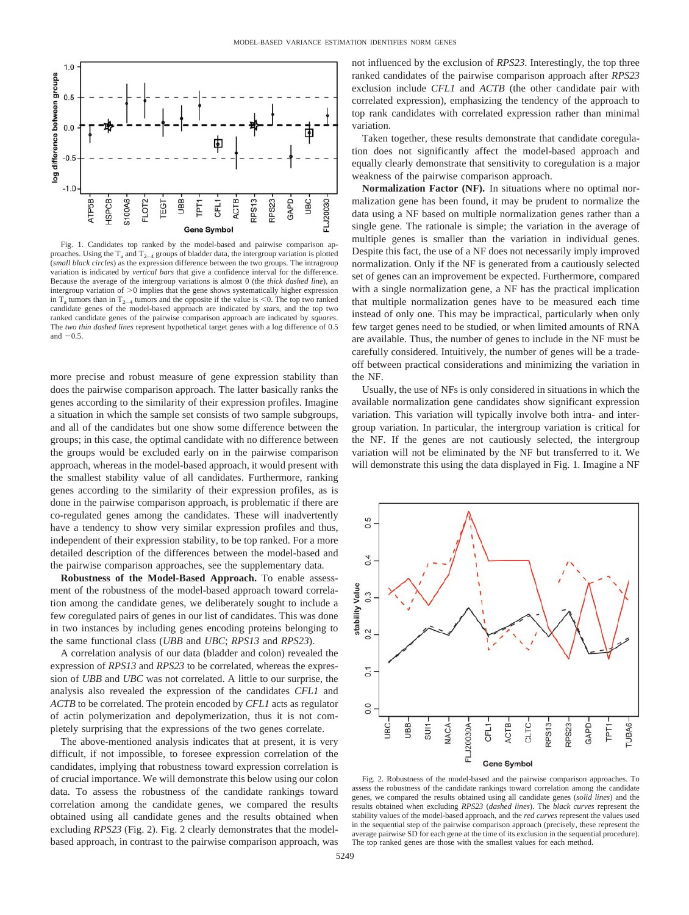

Fig. 1. Candidates top ranked by the model-based and pairwise comparison approaches. Using the  $T_a$  and  $T_{2-4}$  groups of bladder data, the intergroup variation is plotted (*small black circles*) as the expression difference between the two groups. The intragroup variation is indicated by *vertical bars* that give a confidence interval for the difference. Because the average of the intergroup variations is almost 0 (the *thick dashed line*), an intergroup variation of  $>0$  implies that the gene shows systematically higher expression in  $T_a$  tumors than in  $T_{2-4}$  tumors and the opposite if the value is <0. The top two ranked candidate genes of the model-based approach are indicated by *stars*, and the top two ranked candidate genes of the pairwise comparison approach are indicated by *squares*. The *two thin dashed lines* represent hypothetical target genes with a log difference of 0.5 and  $-0.5$ .

more precise and robust measure of gene expression stability than does the pairwise comparison approach. The latter basically ranks the genes according to the similarity of their expression profiles. Imagine a situation in which the sample set consists of two sample subgroups, and all of the candidates but one show some difference between the groups; in this case, the optimal candidate with no difference between the groups would be excluded early on in the pairwise comparison approach, whereas in the model-based approach, it would present with the smallest stability value of all candidates. Furthermore, ranking genes according to the similarity of their expression profiles, as is done in the pairwise comparison approach, is problematic if there are co-regulated genes among the candidates. These will inadvertently have a tendency to show very similar expression profiles and thus, independent of their expression stability, to be top ranked. For a more detailed description of the differences between the model-based and the pairwise comparison approaches, see the supplementary data.

**Robustness of the Model-Based Approach.** To enable assessment of the robustness of the model-based approach toward correlation among the candidate genes, we deliberately sought to include a few coregulated pairs of genes in our list of candidates. This was done in two instances by including genes encoding proteins belonging to the same functional class (*UBB* and *UBC*; *RPS13* and *RPS23*).

A correlation analysis of our data (bladder and colon) revealed the expression of *RPS13* and *RPS23* to be correlated, whereas the expression of *UBB* and *UBC* was not correlated. A little to our surprise, the analysis also revealed the expression of the candidates *CFL1* and *ACTB* to be correlated. The protein encoded by *CFL1* acts as regulator of actin polymerization and depolymerization, thus it is not completely surprising that the expressions of the two genes correlate.

The above-mentioned analysis indicates that at present, it is very difficult, if not impossible, to foresee expression correlation of the candidates, implying that robustness toward expression correlation is of crucial importance. We will demonstrate this below using our colon data. To assess the robustness of the candidate rankings toward correlation among the candidate genes, we compared the results obtained using all candidate genes and the results obtained when excluding *RPS23* (Fig. 2). Fig. 2 clearly demonstrates that the modelbased approach, in contrast to the pairwise comparison approach, was not influenced by the exclusion of *RPS23*. Interestingly, the top three ranked candidates of the pairwise comparison approach after *RPS23* exclusion include *CFL1* and *ACTB* (the other candidate pair with correlated expression), emphasizing the tendency of the approach to top rank candidates with correlated expression rather than minimal variation.

Taken together, these results demonstrate that candidate coregulation does not significantly affect the model-based approach and equally clearly demonstrate that sensitivity to coregulation is a major weakness of the pairwise comparison approach.

**Normalization Factor (NF).** In situations where no optimal normalization gene has been found, it may be prudent to normalize the data using a NF based on multiple normalization genes rather than a single gene. The rationale is simple; the variation in the average of multiple genes is smaller than the variation in individual genes. Despite this fact, the use of a NF does not necessarily imply improved normalization. Only if the NF is generated from a cautiously selected set of genes can an improvement be expected. Furthermore, compared with a single normalization gene, a NF has the practical implication that multiple normalization genes have to be measured each time instead of only one. This may be impractical, particularly when only few target genes need to be studied, or when limited amounts of RNA are available. Thus, the number of genes to include in the NF must be carefully considered. Intuitively, the number of genes will be a tradeoff between practical considerations and minimizing the variation in the NF.

Usually, the use of NFs is only considered in situations in which the available normalization gene candidates show significant expression variation. This variation will typically involve both intra- and intergroup variation. In particular, the intergroup variation is critical for the NF. If the genes are not cautiously selected, the intergroup variation will not be eliminated by the NF but transferred to it. We will demonstrate this using the data displayed in Fig. 1. Imagine a NF



Fig. 2. Robustness of the model-based and the pairwise comparison approaches. To assess the robustness of the candidate rankings toward correlation among the candidate genes, we compared the results obtained using all candidate genes (*solid lines*) and the results obtained when excluding *RPS23* (*dashed lines*). The *black curves* represent the stability values of the model-based approach, and the *red curves* represent the values used in the sequential step of the pairwise comparison approach (precisely, these represent the average pairwise SD for each gene at the time of its exclusion in the sequential procedure). The top ranked genes are those with the smallest values for each method.